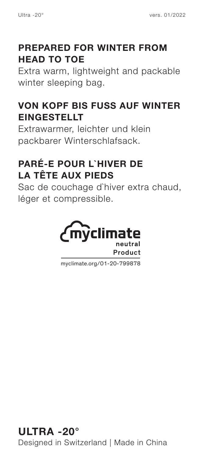#### **PREPARED FOR WINTER FROM HEAD TO TOE**

Extra warm, lightweight and packable winter sleeping bag.

#### **VON KOPF BIS FUSS AUF WINTER EINGESTELLT**

Extrawarmer, leichter und klein packbarer Winterschlafsack.

### **PARÉ-E POUR L`HIVER DE LA TÊTE AUX PIEDS**

Sac de couchage d'hiver extra chaud. léger et compressible.



myclimate.org/01-20-799878

#### **ULTRA -20°**

Designed in Switzerland | Made in China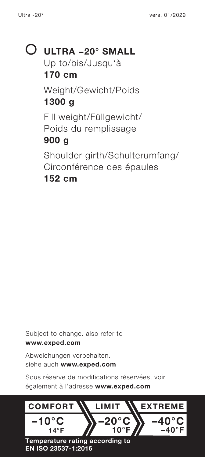# **ULTRA −20° SMALL** Up to/bis/Jusqu'à **170 cm** Weight/Gewicht/Poids **1300 g** Fill weight/Füllgewicht/ Poids du remplissage **900 g** Shoulder girth/Schulterumfang/ Circonférence des épaules **152 cm**

Subject to change. also refer to **www.exped.com**

Abweichungen vorbehalten. siehe auch **www.exped.com**

Sous réserve de modifications réservées, voir également à l'adresse **www.exped.com**



**EN ISO 23537-1:2016**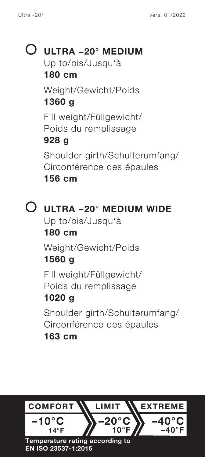# **ULTRA −20° MEDIUM** Up to/bis/Jusqu'à **180 cm** Weight/Gewicht/Poids

## **1360 g**

Fill weight/Füllgewicht/ Poids du remplissage

### **928 g**

Shoulder girth/Schulterumfang/ Circonférence des épaules **156 cm**

**ULTRA −20° MEDIUM WIDE** Up to/bis/Jusqu'à **180 cm** Weight/Gewicht/Poids **1560 g** Fill weight/Füllgewicht/ Poids du remplissage **1020 g** Shoulder girth/Schulterumfang/ Circonférence des épaules

#### **163 cm**



**EN ISO 23537-1:2016**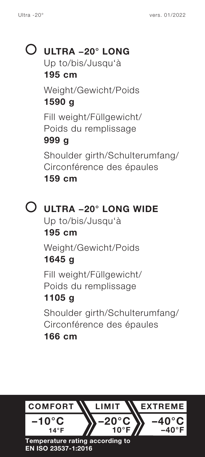### **ULTRA −20° LONG**  Up to/bis/Jusqu'à **195 cm**

Weight/Gewicht/Poids **1590 g** Fill weight/Füllgewicht/ Poids du remplissage **999 g** Shoulder girth/Schulterumfang/

Circonférence des épaules **159 cm**

**ULTRA −20° LONG WIDE** Up to/bis/Jusqu'à **195 cm** Weight/Gewicht/Poids **1645 g** Fill weight/Füllgewicht/ Poids du remplissage **1105 g** Shoulder girth/Schulterumfang/

Circonférence des épaules **166 cm**



**EN ISO 23537-1:2016**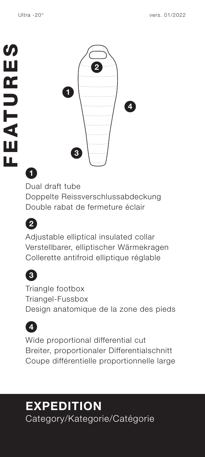

Dual draft tube Doppelte Reissverschlussabdeckung Double rabat de fermeture éclair



**1**

Adjustable elliptical insulated collar Verstellbarer, elliptischer Wärmekragen Collerette antifroid elliptique réglable



Triangle footbox Triangel-Fussbox Design anatomique de la zone des pieds



Wide proportional differential cut Breiter, proportionaler Differentialschnitt

# **EXPEDITION** Category/Kategorie/Catégorie